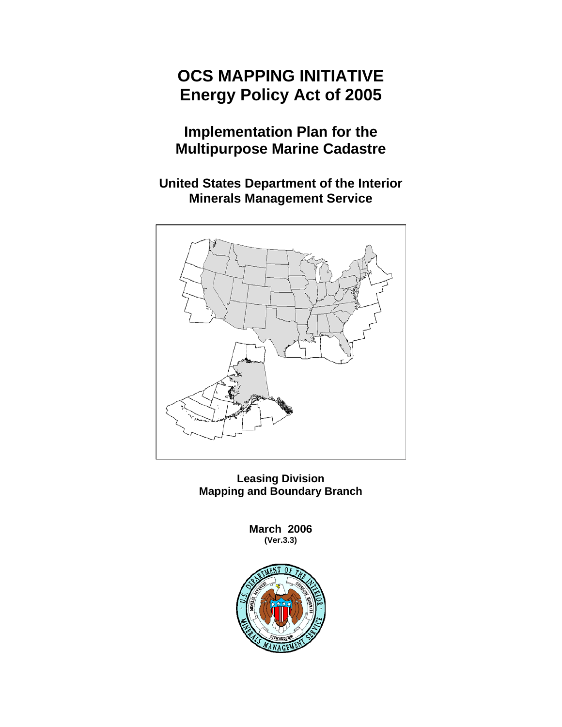# **OCS MAPPING INITIATIVE Energy Policy Act of 2005**

# **Implementation Plan for the Multipurpose Marine Cadastre**

**United States Department of the Interior Minerals Management Service** 



**Leasing Division Mapping and Boundary Branch** 

> **March 2006 (Ver.3.3)**

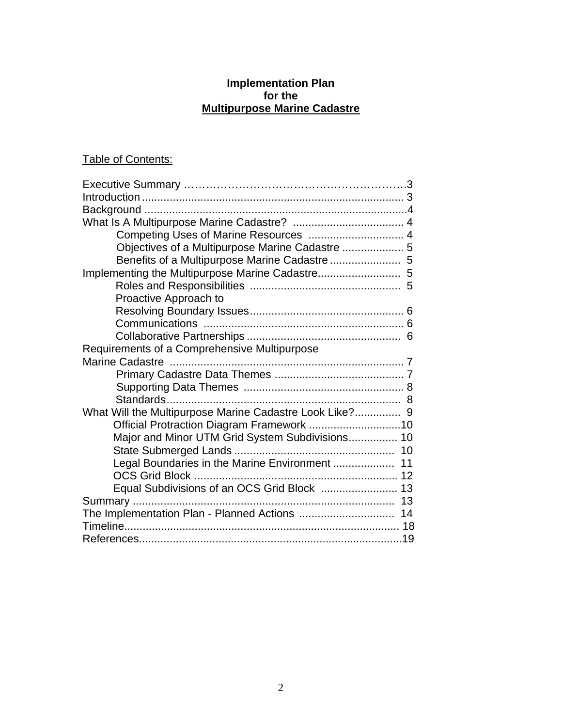# **Implementation Plan for the Multipurpose Marine Cadastre**

# Table of Contents:

| Competing Uses of Marine Resources  4                   |
|---------------------------------------------------------|
| Objectives of a Multipurpose Marine Cadastre  5         |
| Benefits of a Multipurpose Marine Cadastre  5           |
| Implementing the Multipurpose Marine Cadastre 5         |
|                                                         |
| Proactive Approach to                                   |
|                                                         |
|                                                         |
|                                                         |
| Requirements of a Comprehensive Multipurpose            |
|                                                         |
|                                                         |
|                                                         |
|                                                         |
| What Will the Multipurpose Marine Cadastre Look Like? 9 |
|                                                         |
| Major and Minor UTM Grid System Subdivisions 10         |
|                                                         |
| Legal Boundaries in the Marine Environment  11          |
|                                                         |
| Equal Subdivisions of an OCS Grid Block  13             |
|                                                         |
|                                                         |
|                                                         |
|                                                         |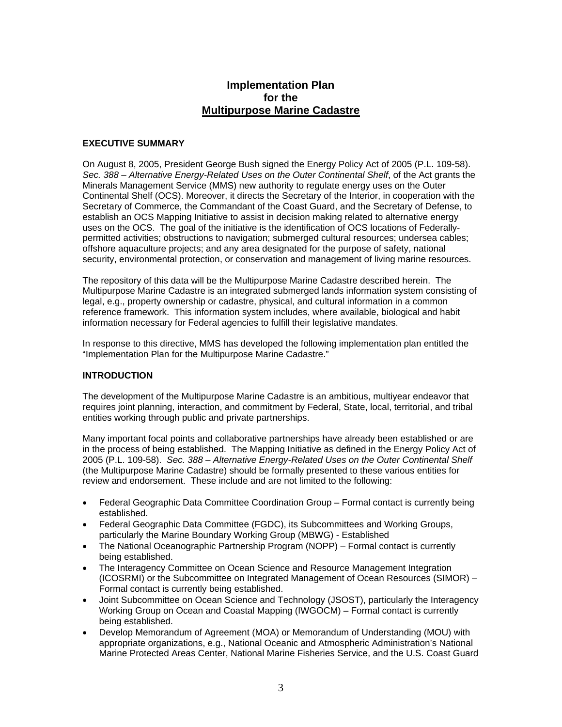# **Implementation Plan for the Multipurpose Marine Cadastre**

#### **EXECUTIVE SUMMARY**

On August 8, 2005, President George Bush signed the Energy Policy Act of 2005 (P.L. 109-58). *Sec. 388 – Alternative Energy-Related Uses on the Outer Continental Shelf*, of the Act grants the Minerals Management Service (MMS) new authority to regulate energy uses on the Outer Continental Shelf (OCS). Moreover, it directs the Secretary of the Interior, in cooperation with the Secretary of Commerce, the Commandant of the Coast Guard, and the Secretary of Defense, to establish an OCS Mapping Initiative to assist in decision making related to alternative energy uses on the OCS. The goal of the initiative is the identification of OCS locations of Federallypermitted activities; obstructions to navigation; submerged cultural resources; undersea cables; offshore aquaculture projects; and any area designated for the purpose of safety, national security, environmental protection, or conservation and management of living marine resources.

The repository of this data will be the Multipurpose Marine Cadastre described herein. The Multipurpose Marine Cadastre is an integrated submerged lands information system consisting of legal, e.g., property ownership or cadastre, physical, and cultural information in a common reference framework. This information system includes, where available, biological and habit information necessary for Federal agencies to fulfill their legislative mandates.

In response to this directive, MMS has developed the following implementation plan entitled the "Implementation Plan for the Multipurpose Marine Cadastre."

#### **INTRODUCTION**

The development of the Multipurpose Marine Cadastre is an ambitious, multiyear endeavor that requires joint planning, interaction, and commitment by Federal, State, local, territorial, and tribal entities working through public and private partnerships.

Many important focal points and collaborative partnerships have already been established or are in the process of being established. The Mapping Initiative as defined in the Energy Policy Act of 2005 (P.L. 109-58). *Sec. 388 – Alternative Energy-Related Uses on the Outer Continental Shelf* (the Multipurpose Marine Cadastre) should be formally presented to these various entities for review and endorsement. These include and are not limited to the following:

- Federal Geographic Data Committee Coordination Group Formal contact is currently being established.
- Federal Geographic Data Committee (FGDC), its Subcommittees and Working Groups, particularly the Marine Boundary Working Group (MBWG) - Established
- The National Oceanographic Partnership Program (NOPP) Formal contact is currently being established.
- The Interagency Committee on Ocean Science and Resource Management Integration (ICOSRMI) or the Subcommittee on Integrated Management of Ocean Resources (SIMOR) – Formal contact is currently being established.
- Joint Subcommittee on Ocean Science and Technology (JSOST), particularly the Interagency Working Group on Ocean and Coastal Mapping (IWGOCM) – Formal contact is currently being established.
- Develop Memorandum of Agreement (MOA) or Memorandum of Understanding (MOU) with appropriate organizations, e.g., National Oceanic and Atmospheric Administration's National Marine Protected Areas Center, National Marine Fisheries Service, and the U.S. Coast Guard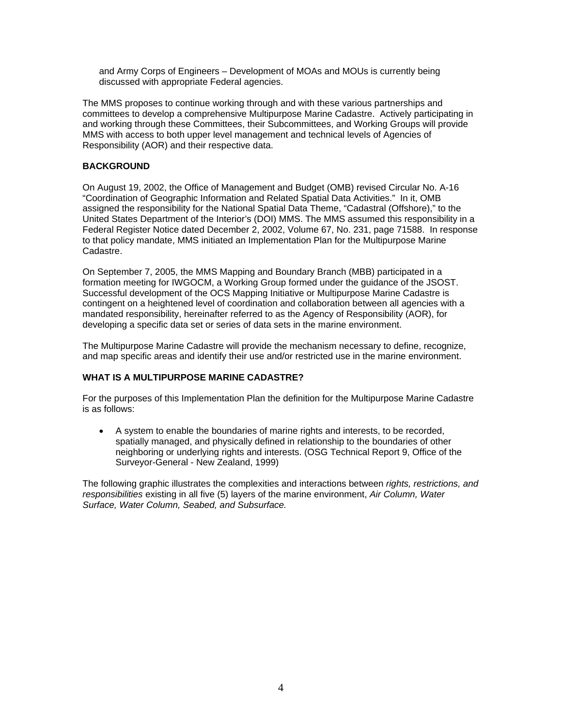and Army Corps of Engineers – Development of MOAs and MOUs is currently being discussed with appropriate Federal agencies.

The MMS proposes to continue working through and with these various partnerships and committees to develop a comprehensive Multipurpose Marine Cadastre. Actively participating in and working through these Committees, their Subcommittees, and Working Groups will provide MMS with access to both upper level management and technical levels of Agencies of Responsibility (AOR) and their respective data.

#### **BACKGROUND**

On August 19, 2002, the Office of Management and Budget (OMB) revised Circular No. A-16 "Coordination of Geographic Information and Related Spatial Data Activities." In it, OMB assigned the responsibility for the National Spatial Data Theme, "Cadastral (Offshore)," to the United States Department of the Interior's (DOI) MMS. The MMS assumed this responsibility in a Federal Register Notice dated December 2, 2002, Volume 67, No. 231, page 71588. In response to that policy mandate, MMS initiated an Implementation Plan for the Multipurpose Marine Cadastre.

On September 7, 2005, the MMS Mapping and Boundary Branch (MBB) participated in a formation meeting for IWGOCM, a Working Group formed under the guidance of the JSOST. Successful development of the OCS Mapping Initiative or Multipurpose Marine Cadastre is contingent on a heightened level of coordination and collaboration between all agencies with a mandated responsibility, hereinafter referred to as the Agency of Responsibility (AOR), for developing a specific data set or series of data sets in the marine environment.

The Multipurpose Marine Cadastre will provide the mechanism necessary to define, recognize, and map specific areas and identify their use and/or restricted use in the marine environment.

### **WHAT IS A MULTIPURPOSE MARINE CADASTRE?**

For the purposes of this Implementation Plan the definition for the Multipurpose Marine Cadastre is as follows:

• A system to enable the boundaries of marine rights and interests, to be recorded, spatially managed, and physically defined in relationship to the boundaries of other neighboring or underlying rights and interests. (OSG Technical Report 9, Office of the Surveyor-General - New Zealand, 1999)

The following graphic illustrates the complexities and interactions between *rights, restrictions, and responsibilities* existing in all five (5) layers of the marine environment, *Air Column, Water Surface, Water Column, Seabed, and Subsurface.*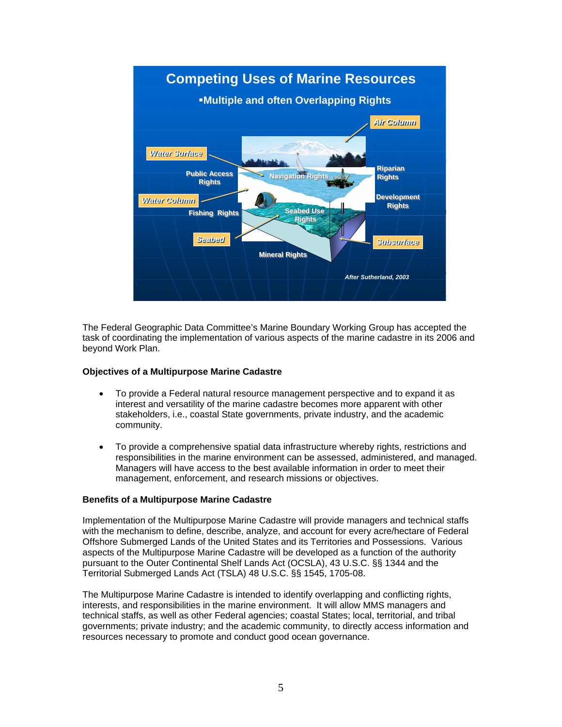

The Federal Geographic Data Committee's Marine Boundary Working Group has accepted the task of coordinating the implementation of various aspects of the marine cadastre in its 2006 and beyond Work Plan.

#### **Objectives of a Multipurpose Marine Cadastre**

- To provide a Federal natural resource management perspective and to expand it as interest and versatility of the marine cadastre becomes more apparent with other stakeholders, i.e., coastal State governments, private industry, and the academic community.
- To provide a comprehensive spatial data infrastructure whereby rights, restrictions and responsibilities in the marine environment can be assessed, administered, and managed. Managers will have access to the best available information in order to meet their management, enforcement, and research missions or objectives.

#### **Benefits of a Multipurpose Marine Cadastre**

Implementation of the Multipurpose Marine Cadastre will provide managers and technical staffs with the mechanism to define, describe, analyze, and account for every acre/hectare of Federal Offshore Submerged Lands of the United States and its Territories and Possessions. Various aspects of the Multipurpose Marine Cadastre will be developed as a function of the authority pursuant to the Outer Continental Shelf Lands Act (OCSLA), 43 U.S.C. §§ 1344 and the Territorial Submerged Lands Act (TSLA) 48 U.S.C. §§ 1545, 1705-08.

The Multipurpose Marine Cadastre is intended to identify overlapping and conflicting rights, interests, and responsibilities in the marine environment. It will allow MMS managers and technical staffs, as well as other Federal agencies; coastal States; local, territorial, and tribal governments; private industry; and the academic community, to directly access information and resources necessary to promote and conduct good ocean governance.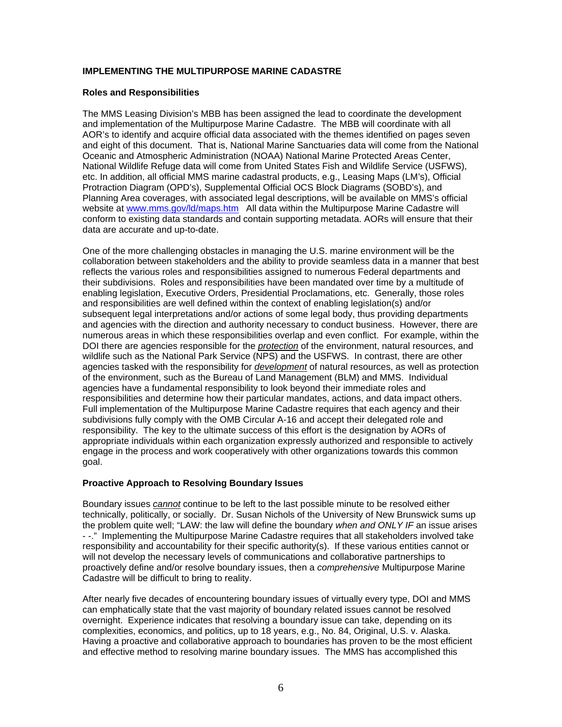#### **IMPLEMENTING THE MULTIPURPOSE MARINE CADASTRE**

#### **Roles and Responsibilities**

The MMS Leasing Division's MBB has been assigned the lead to coordinate the development and implementation of the Multipurpose Marine Cadastre. The MBB will coordinate with all AOR's to identify and acquire official data associated with the themes identified on pages seven and eight of this document. That is, National Marine Sanctuaries data will come from the National Oceanic and Atmospheric Administration (NOAA) National Marine Protected Areas Center, National Wildlife Refuge data will come from United States Fish and Wildlife Service (USFWS), etc. In addition, all official MMS marine cadastral products, e.g., Leasing Maps (LM's), Official Protraction Diagram (OPD's), Supplemental Official OCS Block Diagrams (SOBD's), and Planning Area coverages, with associated legal descriptions, will be available on MMS's official website at www.mms.gov/ld/maps.htm All data within the Multipurpose Marine Cadastre will conform to existing data standards and contain supporting metadata. AORs will ensure that their data are accurate and up-to-date.

One of the more challenging obstacles in managing the U.S. marine environment will be the collaboration between stakeholders and the ability to provide seamless data in a manner that best reflects the various roles and responsibilities assigned to numerous Federal departments and their subdivisions. Roles and responsibilities have been mandated over time by a multitude of enabling legislation, Executive Orders, Presidential Proclamations, etc. Generally, those roles and responsibilities are well defined within the context of enabling legislation(s) and/or subsequent legal interpretations and/or actions of some legal body, thus providing departments and agencies with the direction and authority necessary to conduct business. However, there are numerous areas in which these responsibilities overlap and even conflict. For example, within the DOI there are agencies responsible for the *protection* of the environment, natural resources, and wildlife such as the National Park Service (NPS) and the USFWS. In contrast, there are other agencies tasked with the responsibility for *development* of natural resources, as well as protection of the environment, such as the Bureau of Land Management (BLM) and MMS. Individual agencies have a fundamental responsibility to look beyond their immediate roles and responsibilities and determine how their particular mandates, actions, and data impact others. Full implementation of the Multipurpose Marine Cadastre requires that each agency and their subdivisions fully comply with the OMB Circular A-16 and accept their delegated role and responsibility. The key to the ultimate success of this effort is the designation by AORs of appropriate individuals within each organization expressly authorized and responsible to actively engage in the process and work cooperatively with other organizations towards this common goal.

#### **Proactive Approach to Resolving Boundary Issues**

Boundary issues *cannot* continue to be left to the last possible minute to be resolved either technically, politically, or socially. Dr. Susan Nichols of the University of New Brunswick sums up the problem quite well; "LAW: the law will define the boundary *when and ONLY IF* an issue arises - -." Implementing the Multipurpose Marine Cadastre requires that all stakeholders involved take responsibility and accountability for their specific authority(s). If these various entities cannot or will not develop the necessary levels of communications and collaborative partnerships to proactively define and/or resolve boundary issues, then a *comprehensive* Multipurpose Marine Cadastre will be difficult to bring to reality.

After nearly five decades of encountering boundary issues of virtually every type, DOI and MMS can emphatically state that the vast majority of boundary related issues cannot be resolved overnight. Experience indicates that resolving a boundary issue can take, depending on its complexities, economics, and politics, up to 18 years, e.g., No. 84, Original, U.S. v. Alaska. Having a proactive and collaborative approach to boundaries has proven to be the most efficient and effective method to resolving marine boundary issues. The MMS has accomplished this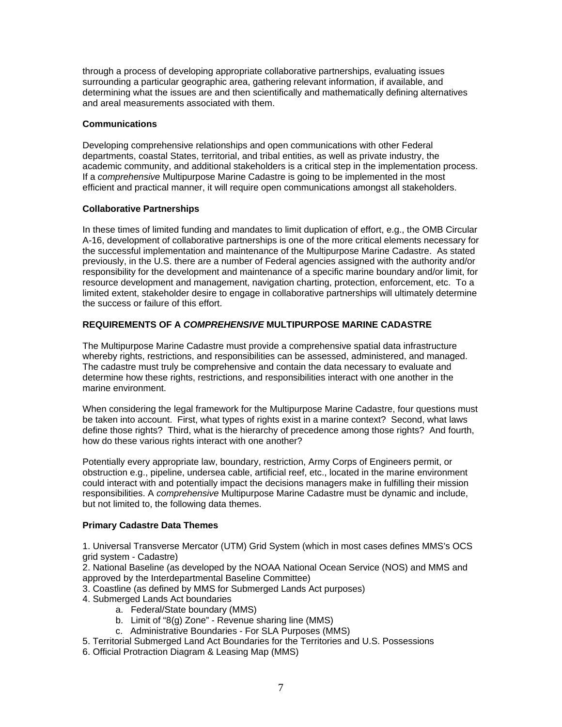through a process of developing appropriate collaborative partnerships, evaluating issues surrounding a particular geographic area, gathering relevant information, if available, and determining what the issues are and then scientifically and mathematically defining alternatives and areal measurements associated with them.

#### **Communications**

Developing comprehensive relationships and open communications with other Federal departments, coastal States, territorial, and tribal entities, as well as private industry, the academic community, and additional stakeholders is a critical step in the implementation process. If a *comprehensive* Multipurpose Marine Cadastre is going to be implemented in the most efficient and practical manner, it will require open communications amongst all stakeholders.

#### **Collaborative Partnerships**

In these times of limited funding and mandates to limit duplication of effort, e.g., the OMB Circular A-16, development of collaborative partnerships is one of the more critical elements necessary for the successful implementation and maintenance of the Multipurpose Marine Cadastre. As stated previously, in the U.S. there are a number of Federal agencies assigned with the authority and/or responsibility for the development and maintenance of a specific marine boundary and/or limit, for resource development and management, navigation charting, protection, enforcement, etc. To a limited extent, stakeholder desire to engage in collaborative partnerships will ultimately determine the success or failure of this effort.

#### **REQUIREMENTS OF A** *COMPREHENSIVE* **MULTIPURPOSE MARINE CADASTRE**

The Multipurpose Marine Cadastre must provide a comprehensive spatial data infrastructure whereby rights, restrictions, and responsibilities can be assessed, administered, and managed. The cadastre must truly be comprehensive and contain the data necessary to evaluate and determine how these rights, restrictions, and responsibilities interact with one another in the marine environment.

When considering the legal framework for the Multipurpose Marine Cadastre, four questions must be taken into account. First, what types of rights exist in a marine context? Second, what laws define those rights? Third, what is the hierarchy of precedence among those rights? And fourth, how do these various rights interact with one another?

Potentially every appropriate law, boundary, restriction, Army Corps of Engineers permit, or obstruction e.g., pipeline, undersea cable, artificial reef, etc., located in the marine environment could interact with and potentially impact the decisions managers make in fulfilling their mission responsibilities. A *comprehensive* Multipurpose Marine Cadastre must be dynamic and include, but not limited to, the following data themes.

#### **Primary Cadastre Data Themes**

1. Universal Transverse Mercator (UTM) Grid System (which in most cases defines MMS's OCS grid system - Cadastre)

2. National Baseline (as developed by the NOAA National Ocean Service (NOS) and MMS and approved by the Interdepartmental Baseline Committee)

- 3. Coastline (as defined by MMS for Submerged Lands Act purposes)
- 4. Submerged Lands Act boundaries
	- a. Federal/State boundary (MMS)
	- b. Limit of "8(g) Zone" Revenue sharing line (MMS)
	- c. Administrative Boundaries For SLA Purposes (MMS)
- 5. Territorial Submerged Land Act Boundaries for the Territories and U.S. Possessions
- 6. Official Protraction Diagram & Leasing Map (MMS)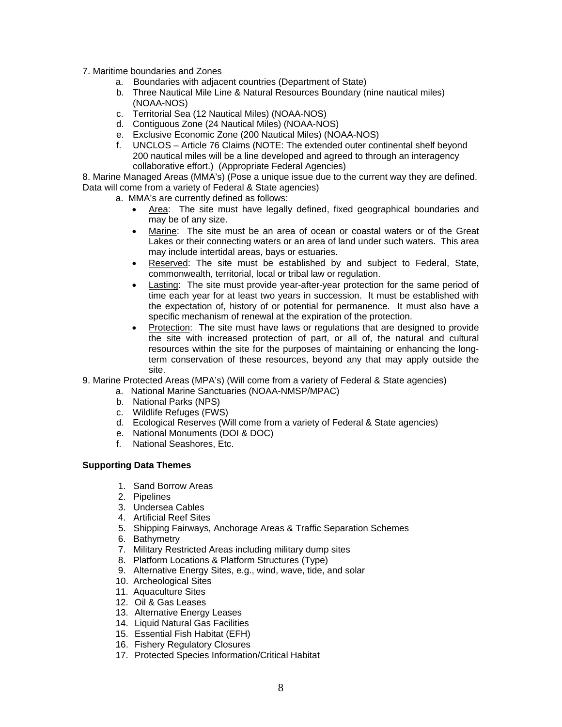- 7. Maritime boundaries and Zones
	- a. Boundaries with adjacent countries (Department of State)
	- b. Three Nautical Mile Line & Natural Resources Boundary (nine nautical miles) (NOAA-NOS)
	- c. Territorial Sea (12 Nautical Miles) (NOAA-NOS)
	- d. Contiguous Zone (24 Nautical Miles) (NOAA-NOS)
	- e. Exclusive Economic Zone (200 Nautical Miles) (NOAA-NOS)
	- f. UNCLOS Article 76 Claims (NOTE: The extended outer continental shelf beyond 200 nautical miles will be a line developed and agreed to through an interagency collaborative effort.) (Appropriate Federal Agencies)

8. Marine Managed Areas (MMA's) (Pose a unique issue due to the current way they are defined. Data will come from a variety of Federal & State agencies)

a. MMA's are currently defined as follows:

- Area: The site must have legally defined, fixed geographical boundaries and may be of any size.
- Marine: The site must be an area of ocean or coastal waters or of the Great Lakes or their connecting waters or an area of land under such waters. This area may include intertidal areas, bays or estuaries.
- Reserved: The site must be established by and subject to Federal, State, commonwealth, territorial, local or tribal law or regulation.
- Lasting: The site must provide year-after-year protection for the same period of time each year for at least two years in succession. It must be established with the expectation of, history of or potential for permanence. It must also have a specific mechanism of renewal at the expiration of the protection.
- Protection: The site must have laws or regulations that are designed to provide the site with increased protection of part, or all of, the natural and cultural resources within the site for the purposes of maintaining or enhancing the longterm conservation of these resources, beyond any that may apply outside the site.
- 9. Marine Protected Areas (MPA's) (Will come from a variety of Federal & State agencies)
	- a. National Marine Sanctuaries (NOAA-NMSP/MPAC)
	- b. National Parks (NPS)
	- c. Wildlife Refuges (FWS)
	- d. Ecological Reserves (Will come from a variety of Federal & State agencies)
	- e. National Monuments (DOI & DOC)
	- f. National Seashores, Etc.

#### **Supporting Data Themes**

- 1. Sand Borrow Areas
- 2. Pipelines
- 3. Undersea Cables
- 4. Artificial Reef Sites
- 5. Shipping Fairways, Anchorage Areas & Traffic Separation Schemes
- 6. Bathymetry
- 7. Military Restricted Areas including military dump sites
- 8. Platform Locations & Platform Structures (Type)
- 9. Alternative Energy Sites, e.g., wind, wave, tide, and solar
- 10. Archeological Sites
- 11. Aquaculture Sites
- 12. Oil & Gas Leases
- 13. Alternative Energy Leases
- 14. Liquid Natural Gas Facilities
- 15. Essential Fish Habitat (EFH)
- 16. Fishery Regulatory Closures
- 17. Protected Species Information/Critical Habitat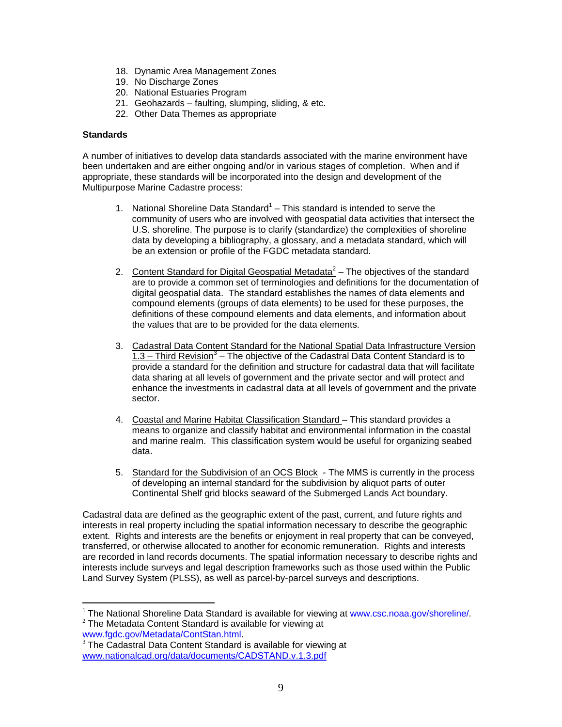- 18. Dynamic Area Management Zones
- 19. No Discharge Zones
- 20. National Estuaries Program
- 21. Geohazards faulting, slumping, sliding, & etc.
- 22. Other Data Themes as appropriate

#### **Standards**

A number of initiatives to develop data standards associated with the marine environment have been undertaken and are either ongoing and/or in various stages of completion. When and if appropriate, these standards will be incorporated into the design and development of the Multipurpose Marine Cadastre process:

- 1. National Shoreline Data Standard<sup>1</sup> This standard is intended to serve the community of users who are involved with geospatial data activities that intersect the U.S. shoreline. The purpose is to clarify (standardize) the complexities of shoreline data by developing a bibliography, a glossary, and a metadata standard, which will be an extension or profile of the FGDC metadata standard.
- 2. Content Standard for Digital Geospatial Metadata $^2$  The objectives of the standard are to provide a common set of terminologies and definitions for the documentation of digital geospatial data. The standard establishes the names of data elements and compound elements (groups of data elements) to be used for these purposes, the definitions of these compound elements and data elements, and information about the values that are to be provided for the data elements.
- 3. Cadastral Data Content Standard for the National Spatial Data Infrastructure Version 1.3 – Third Revision<sup>3</sup> – The objective of the Cadastral Data Content Standard is to provide a standard for the definition and structure for cadastral data that will facilitate data sharing at all levels of government and the private sector and will protect and enhance the investments in cadastral data at all levels of government and the private sector.
- 4. Coastal and Marine Habitat Classification Standard This standard provides a means to organize and classify habitat and environmental information in the coastal and marine realm. This classification system would be useful for organizing seabed data.
- 5. Standard for the Subdivision of an OCS Block The MMS is currently in the process of developing an internal standard for the subdivision by aliquot parts of outer Continental Shelf grid blocks seaward of the Submerged Lands Act boundary.

Cadastral data are defined as the geographic extent of the past, current, and future rights and interests in real property including the spatial information necessary to describe the geographic extent. Rights and interests are the benefits or enjoyment in real property that can be conveyed, transferred, or otherwise allocated to another for economic remuneration. Rights and interests are recorded in land records documents. The spatial information necessary to describe rights and interests include surveys and legal description frameworks such as those used within the Public Land Survey System (PLSS), as well as parcel-by-parcel surveys and descriptions.

 $\overline{a}$ 

<sup>&</sup>lt;sup>1</sup> The National Shoreline Data Standard is available for viewing at www.csc.noaa.gov/shoreline/.<br><sup>2</sup> The Metadata Content Standard is available for viewing at www.fgdc.gov/Metadata/ContStan.html.

 $3$  The Cadastral Data Content Standard is available for viewing at www.nationalcad.org/data/documents/CADSTAND.v.1.3.pdf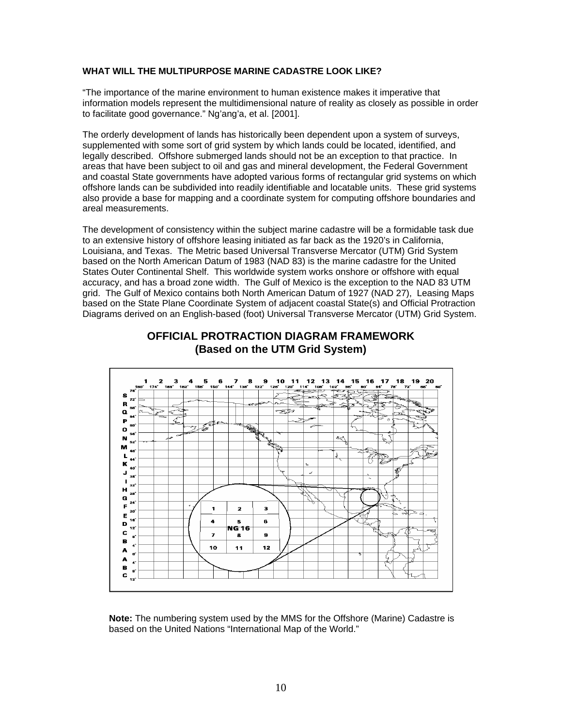#### **WHAT WILL THE MULTIPURPOSE MARINE CADASTRE LOOK LIKE?**

"The importance of the marine environment to human existence makes it imperative that information models represent the multidimensional nature of reality as closely as possible in order to facilitate good governance." Ng'ang'a, et al. [2001].

The orderly development of lands has historically been dependent upon a system of surveys, supplemented with some sort of grid system by which lands could be located, identified, and legally described. Offshore submerged lands should not be an exception to that practice. In areas that have been subject to oil and gas and mineral development, the Federal Government and coastal State governments have adopted various forms of rectangular grid systems on which offshore lands can be subdivided into readily identifiable and locatable units. These grid systems also provide a base for mapping and a coordinate system for computing offshore boundaries and areal measurements.

The development of consistency within the subject marine cadastre will be a formidable task due to an extensive history of offshore leasing initiated as far back as the 1920's in California, Louisiana, and Texas. The Metric based Universal Transverse Mercator (UTM) Grid System based on the North American Datum of 1983 (NAD 83) is the marine cadastre for the United States Outer Continental Shelf. This worldwide system works onshore or offshore with equal accuracy, and has a broad zone width. The Gulf of Mexico is the exception to the NAD 83 UTM grid. The Gulf of Mexico contains both North American Datum of 1927 (NAD 27), Leasing Maps based on the State Plane Coordinate System of adjacent coastal State(s) and Official Protraction Diagrams derived on an English-based (foot) Universal Transverse Mercator (UTM) Grid System.



## **OFFICIAL PROTRACTION DIAGRAM FRAMEWORK (Based on the UTM Grid System)**

**Note:** The numbering system used by the MMS for the Offshore (Marine) Cadastre is based on the United Nations "International Map of the World."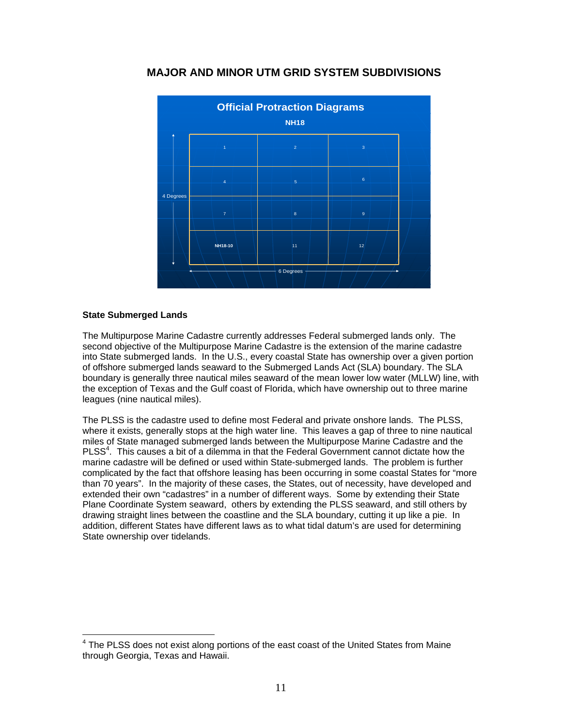

# **MAJOR AND MINOR UTM GRID SYSTEM SUBDIVISIONS**

#### **State Submerged Lands**

The Multipurpose Marine Cadastre currently addresses Federal submerged lands only. The second objective of the Multipurpose Marine Cadastre is the extension of the marine cadastre into State submerged lands. In the U.S., every coastal State has ownership over a given portion of offshore submerged lands seaward to the Submerged Lands Act (SLA) boundary. The SLA boundary is generally three nautical miles seaward of the mean lower low water (MLLW) line, with the exception of Texas and the Gulf coast of Florida, which have ownership out to three marine leagues (nine nautical miles).

The PLSS is the cadastre used to define most Federal and private onshore lands. The PLSS, where it exists, generally stops at the high water line. This leaves a gap of three to nine nautical miles of State managed submerged lands between the Multipurpose Marine Cadastre and the PLSS<sup>4</sup>. This causes a bit of a dilemma in that the Federal Government cannot dictate how the marine cadastre will be defined or used within State-submerged lands. The problem is further complicated by the fact that offshore leasing has been occurring in some coastal States for "more than 70 years". In the majority of these cases, the States, out of necessity, have developed and extended their own "cadastres" in a number of different ways. Some by extending their State Plane Coordinate System seaward, others by extending the PLSS seaward, and still others by drawing straight lines between the coastline and the SLA boundary, cutting it up like a pie. In addition, different States have different laws as to what tidal datum's are used for determining State ownership over tidelands.

<sup>————————————————————&</sup>lt;br><sup>4</sup> The PLSS does not exist along portions of the east coast of the United States from Maine through Georgia, Texas and Hawaii.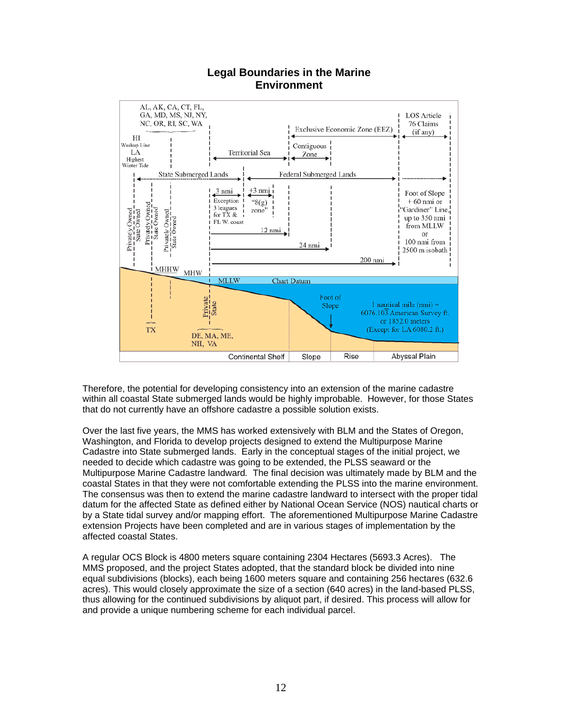

## **Legal Boundaries in the Marine Environment**

Therefore, the potential for developing consistency into an extension of the marine cadastre within all coastal State submerged lands would be highly improbable. However, for those States that do not currently have an offshore cadastre a possible solution exists.

Over the last five years, the MMS has worked extensively with BLM and the States of Oregon, Washington, and Florida to develop projects designed to extend the Multipurpose Marine Cadastre into State submerged lands. Early in the conceptual stages of the initial project, we needed to decide which cadastre was going to be extended, the PLSS seaward or the Multipurpose Marine Cadastre landward*.* The final decision was ultimately made by BLM and the coastal States in that they were not comfortable extending the PLSS into the marine environment. The consensus was then to extend the marine cadastre landward to intersect with the proper tidal datum for the affected State as defined either by National Ocean Service (NOS) nautical charts or by a State tidal survey and/or mapping effort. The aforementioned Multipurpose Marine Cadastre extension Projects have been completed and are in various stages of implementation by the affected coastal States.

A regular OCS Block is 4800 meters square containing 2304 Hectares (5693.3 Acres). The MMS proposed, and the project States adopted, that the standard block be divided into nine equal subdivisions (blocks), each being 1600 meters square and containing 256 hectares (632.6 acres). This would closely approximate the size of a section (640 acres) in the land-based PLSS, thus allowing for the continued subdivisions by aliquot part, if desired. This process will allow for and provide a unique numbering scheme for each individual parcel.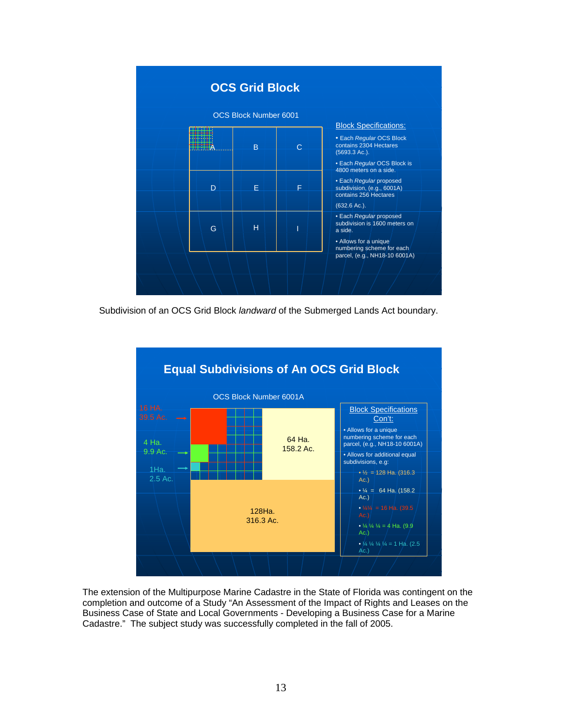

Subdivision of an OCS Grid Block *landward* of the Submerged Lands Act boundary.



The extension of the Multipurpose Marine Cadastre in the State of Florida was contingent on the completion and outcome of a Study "An Assessment of the Impact of Rights and Leases on the Business Case of State and Local Governments - Developing a Business Case for a Marine Cadastre." The subject study was successfully completed in the fall of 2005.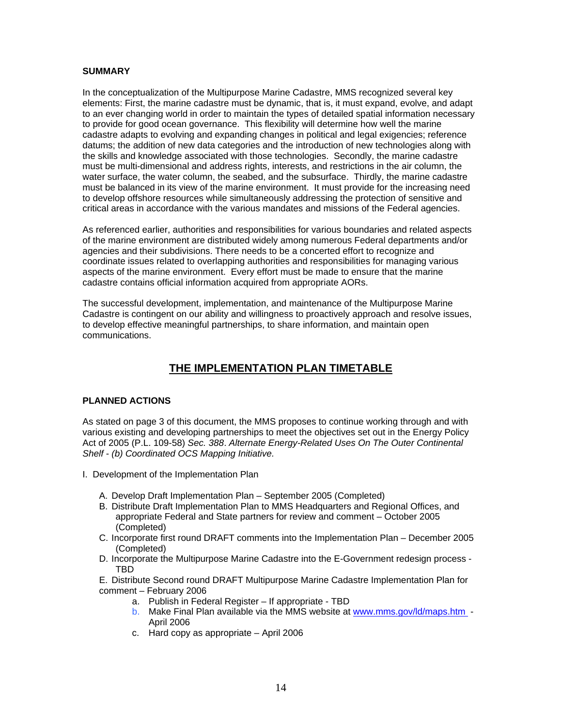#### **SUMMARY**

In the conceptualization of the Multipurpose Marine Cadastre, MMS recognized several key elements: First, the marine cadastre must be dynamic, that is, it must expand, evolve, and adapt to an ever changing world in order to maintain the types of detailed spatial information necessary to provide for good ocean governance. This flexibility will determine how well the marine cadastre adapts to evolving and expanding changes in political and legal exigencies; reference datums; the addition of new data categories and the introduction of new technologies along with the skills and knowledge associated with those technologies. Secondly, the marine cadastre must be multi-dimensional and address rights, interests, and restrictions in the air column, the water surface, the water column, the seabed, and the subsurface. Thirdly, the marine cadastre must be balanced in its view of the marine environment. It must provide for the increasing need to develop offshore resources while simultaneously addressing the protection of sensitive and critical areas in accordance with the various mandates and missions of the Federal agencies.

As referenced earlier, authorities and responsibilities for various boundaries and related aspects of the marine environment are distributed widely among numerous Federal departments and/or agencies and their subdivisions. There needs to be a concerted effort to recognize and coordinate issues related to overlapping authorities and responsibilities for managing various aspects of the marine environment. Every effort must be made to ensure that the marine cadastre contains official information acquired from appropriate AORs.

The successful development, implementation, and maintenance of the Multipurpose Marine Cadastre is contingent on our ability and willingness to proactively approach and resolve issues, to develop effective meaningful partnerships, to share information, and maintain open communications.

# **THE IMPLEMENTATION PLAN TIMETABLE**

#### **PLANNED ACTIONS**

As stated on page 3 of this document, the MMS proposes to continue working through and with various existing and developing partnerships to meet the objectives set out in the Energy Policy Act of 2005 (P.L. 109-58) *Sec. 388*. *Alternate Energy-Related Uses On The Outer Continental Shelf* - *(b) Coordinated OCS Mapping Initiative.*

- I. Development of the Implementation Plan
	- A. Develop Draft Implementation Plan September 2005 (Completed)
	- B. Distribute Draft Implementation Plan to MMS Headquarters and Regional Offices, and appropriate Federal and State partners for review and comment – October 2005 (Completed)
	- C. Incorporate first round DRAFT comments into the Implementation Plan December 2005 (Completed)
	- D. Incorporate the Multipurpose Marine Cadastre into the E-Government redesign process TBD
	- E. Distribute Second round DRAFT Multipurpose Marine Cadastre Implementation Plan for comment – February 2006
		- a. Publish in Federal Register If appropriate TBD
		- b. Make Final Plan available via the MMS website at www.mms.gov/ld/maps.htm -April 2006
		- c. Hard copy as appropriate April 2006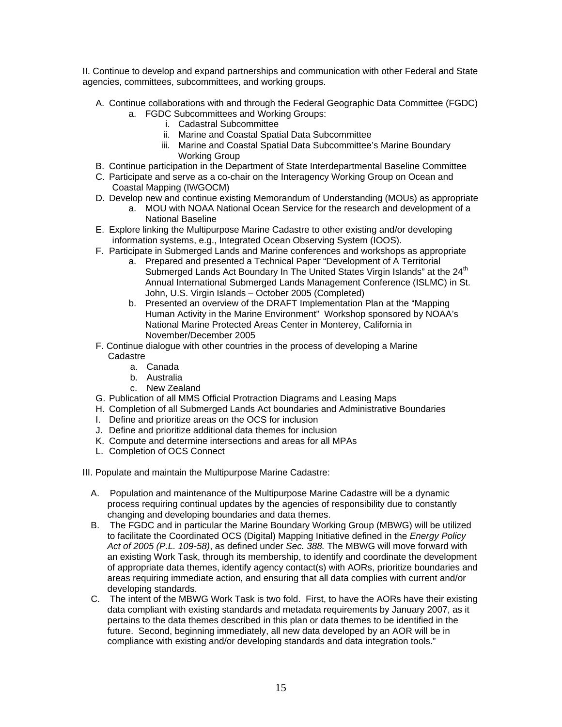II. Continue to develop and expand partnerships and communication with other Federal and State agencies, committees, subcommittees, and working groups.

- A. Continue collaborations with and through the Federal Geographic Data Committee (FGDC)
	- a. FGDC Subcommittees and Working Groups:
		- i. Cadastral Subcommittee
		- ii. Marine and Coastal Spatial Data Subcommittee
		- iii. Marine and Coastal Spatial Data Subcommittee's Marine Boundary Working Group
- B. Continue participation in the Department of State Interdepartmental Baseline Committee
- C. Participate and serve as a co-chair on the Interagency Working Group on Ocean and Coastal Mapping (IWGOCM)
- D. Develop new and continue existing Memorandum of Understanding (MOUs) as appropriate
	- a. MOU with NOAA National Ocean Service for the research and development of a National Baseline
- E. Explore linking the Multipurpose Marine Cadastre to other existing and/or developing information systems, e.g., Integrated Ocean Observing System (IOOS).
- F. Participate in Submerged Lands and Marine conferences and workshops as appropriate
	- a. Prepared and presented a Technical Paper "Development of A Territorial Submerged Lands Act Boundary In The United States Virgin Islands" at the 24<sup>th</sup> Annual International Submerged Lands Management Conference (ISLMC) in St. John, U.S. Virgin Islands – October 2005 (Completed)
	- b. Presented an overview of the DRAFT Implementation Plan at the "Mapping Human Activity in the Marine Environment" Workshop sponsored by NOAA's National Marine Protected Areas Center in Monterey, California in November/December 2005
- F. Continue dialogue with other countries in the process of developing a Marine Cadastre
	- a. Canada
	- b. Australia
	- c. New Zealand
- G. Publication of all MMS Official Protraction Diagrams and Leasing Maps
- H. Completion of all Submerged Lands Act boundaries and Administrative Boundaries
- I. Define and prioritize areas on the OCS for inclusion
- J. Define and prioritize additional data themes for inclusion
- K. Compute and determine intersections and areas for all MPAs
- L. Completion of OCS Connect

III. Populate and maintain the Multipurpose Marine Cadastre:

- A. Population and maintenance of the Multipurpose Marine Cadastre will be a dynamic process requiring continual updates by the agencies of responsibility due to constantly changing and developing boundaries and data themes.
- B. The FGDC and in particular the Marine Boundary Working Group (MBWG) will be utilized to facilitate the Coordinated OCS (Digital) Mapping Initiative defined in the *Energy Policy Act of 2005 (P.L. 109-58)*, as defined under *Sec. 388.* The MBWG will move forward with an existing Work Task, through its membership, to identify and coordinate the development of appropriate data themes, identify agency contact(s) with AORs, prioritize boundaries and areas requiring immediate action, and ensuring that all data complies with current and/or developing standards.
- C. The intent of the MBWG Work Task is two fold. First, to have the AORs have their existing data compliant with existing standards and metadata requirements by January 2007, as it pertains to the data themes described in this plan or data themes to be identified in the future. Second, beginning immediately, all new data developed by an AOR will be in compliance with existing and/or developing standards and data integration tools."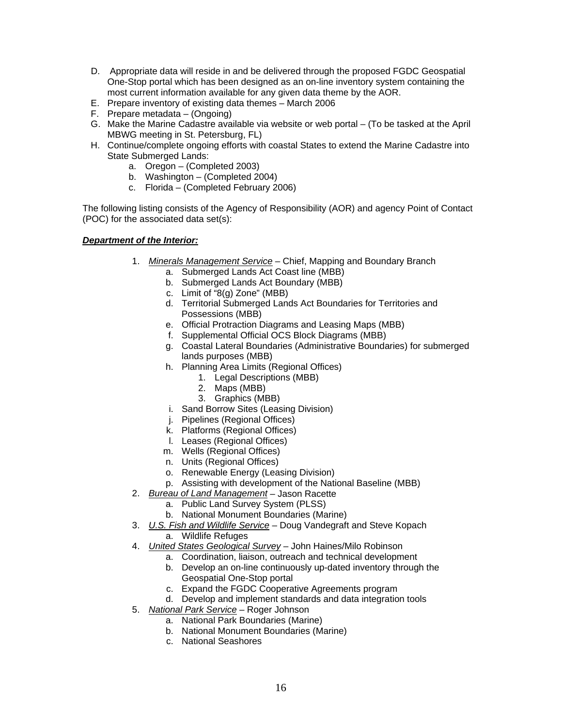- D. Appropriate data will reside in and be delivered through the proposed FGDC Geospatial One-Stop portal which has been designed as an on-line inventory system containing the most current information available for any given data theme by the AOR.
- E. Prepare inventory of existing data themes March 2006
- F. Prepare metadata (Ongoing)
- G. Make the Marine Cadastre available via website or web portal (To be tasked at the April MBWG meeting in St. Petersburg, FL)
- H. Continue/complete ongoing efforts with coastal States to extend the Marine Cadastre into State Submerged Lands:
	- a. Oregon (Completed 2003)
	- b. Washington (Completed 2004)
	- c. Florida (Completed February 2006)

The following listing consists of the Agency of Responsibility (AOR) and agency Point of Contact (POC) for the associated data set(s):

#### *Department of the Interior:*

- 1. *Minerals Management Service* Chief, Mapping and Boundary Branch
	- a. Submerged Lands Act Coast line (MBB)
	- b. Submerged Lands Act Boundary (MBB)
	- c. Limit of "8(g) Zone" (MBB)
	- d. Territorial Submerged Lands Act Boundaries for Territories and Possessions (MBB)
	- e. Official Protraction Diagrams and Leasing Maps (MBB)
	- f. Supplemental Official OCS Block Diagrams (MBB)
	- g. Coastal Lateral Boundaries (Administrative Boundaries) for submerged lands purposes (MBB)
	- h. Planning Area Limits (Regional Offices)
		- 1. Legal Descriptions (MBB)
		- 2. Maps (MBB)
		- 3. Graphics (MBB)
	- i. Sand Borrow Sites (Leasing Division)
	- j. Pipelines (Regional Offices)
	- k. Platforms (Regional Offices)
	- l. Leases (Regional Offices)
	- m. Wells (Regional Offices)
	- n. Units (Regional Offices)
	- o. Renewable Energy (Leasing Division)
	- p. Assisting with development of the National Baseline (MBB)
- 2. *Bureau of Land Management* Jason Racette
	- a. Public Land Survey System (PLSS)
	- b. National Monument Boundaries (Marine)
- 3. *U.S. Fish and Wildlife Service* Doug Vandegraft and Steve Kopach
	- a. Wildlife Refuges
- 4. *United States Geological Survey* John Haines/Milo Robinson
	- a. Coordination, liaison, outreach and technical development
	- b. Develop an on-line continuously up-dated inventory through the Geospatial One-Stop portal
	- c. Expand the FGDC Cooperative Agreements program
	- d. Develop and implement standards and data integration tools
- 5. *National Park Service* Roger Johnson
	- a. National Park Boundaries (Marine)
	- b. National Monument Boundaries (Marine)
	- c. National Seashores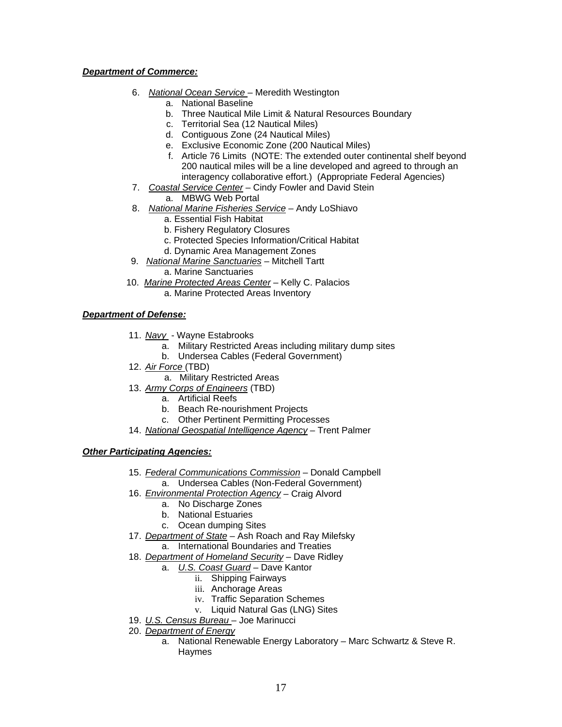#### *Department of Commerce:*

- 6. *National Ocean Service*  Meredith Westington
	- a. National Baseline
	- b. Three Nautical Mile Limit & Natural Resources Boundary
	- c. Territorial Sea (12 Nautical Miles)
	- d. Contiguous Zone (24 Nautical Miles)
	- e. Exclusive Economic Zone (200 Nautical Miles)
	- f. Article 76 Limits (NOTE: The extended outer continental shelf beyond 200 nautical miles will be a line developed and agreed to through an interagency collaborative effort.) (Appropriate Federal Agencies)
- 7. *Coastal Service Center* Cindy Fowler and David Stein
	- a. MBWG Web Portal
- 8. *National Marine Fisheries Service* Andy LoShiavo
	- a. Essential Fish Habitat
	- b. Fishery Regulatory Closures
	- c. Protected Species Information/Critical Habitat
	- d. Dynamic Area Management Zones
- 9. *National Marine Sanctuaries* Mitchell Tartt a. Marine Sanctuaries
- 10. *Marine Protected Areas Center* Kelly C. Palacios a. Marine Protected Areas Inventory

*Department of Defense:*

- 11. *Navy* Wayne Estabrooks
	- a. Military Restricted Areas including military dump sites
	- b. Undersea Cables (Federal Government)
- 12. *Air Force* (TBD)
	- a. Military Restricted Areas
- 13. *Army Corps of Engineers* (TBD)
	- a. Artificial Reefs
	- b. Beach Re-nourishment Projects
	- c. Other Pertinent Permitting Processes
- 14. *National Geospatial Intelligence Agency* Trent Palmer

#### *Other Participating Agencies:*

- 15. *Federal Communications Commission* Donald Campbell a. Undersea Cables (Non-Federal Government)
- 16. *Environmental Protection Agency* Craig Alvord
	- a. No Discharge Zones
	- b. National Estuaries
	- c. Ocean dumping Sites
- 17. *Department of State* Ash Roach and Ray Milefsky a. International Boundaries and Treaties
- 18. *Department of Homeland Security* Dave Ridley
	- a. *U.S. Coast Guard* Dave Kantor
		- ii. Shipping Fairways
		- iii. Anchorage Areas
		- iv. Traffic Separation Schemes
		- v. Liquid Natural Gas (LNG) Sites
- 19. *U.S. Census Bureau*  Joe Marinucci
- 20. *Department of Energy*
	- a. National Renewable Energy Laboratory Marc Schwartz & Steve R. Haymes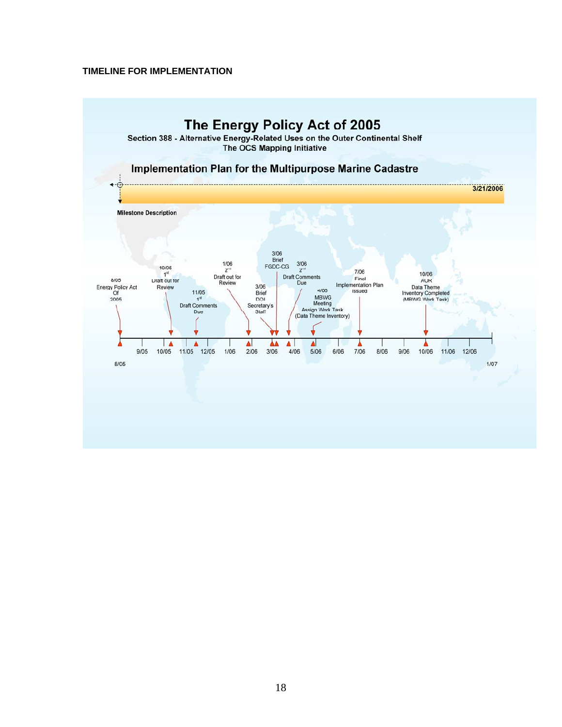#### **TIMELINE FOR IMPLEMENTATION**